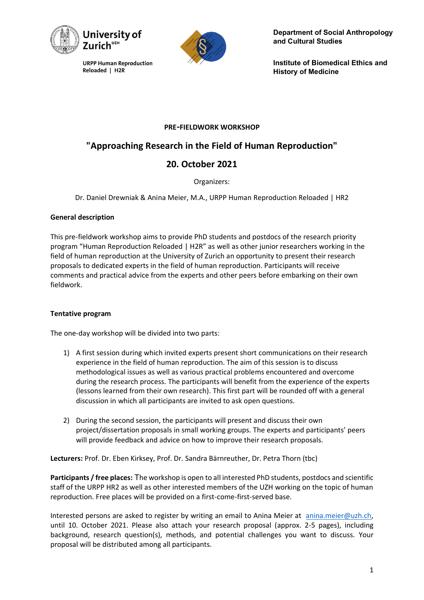

**URPP Human Reproduction** Reloaded | H2R



**Department of Social Anthropology and Cultural Studies**

**Institute of Biomedical Ethics and History of Medicine**

### **PRE-FIELDWORK WORKSHOP**

## **"Approaching Research in the Field of Human Reproduction"**

# **20. October 2021**

Organizers:

Dr. Daniel Drewniak & Anina Meier, M.A., URPP Human Reproduction Reloaded | HR2

### **General description**

This pre-fieldwork workshop aims to provide PhD students and postdocs of the research priority program "Human Reproduction Reloaded | H2R" as well as other junior researchers working in the field of human reproduction at the University of Zurich an opportunity to present their research proposals to dedicated experts in the field of human reproduction. Participants will receive comments and practical advice from the experts and other peers before embarking on their own fieldwork.

### **Tentative program**

The one-day workshop will be divided into two parts:

- 1) A first session during which invited experts present short communications on their research experience in the field of human reproduction. The aim of this session is to discuss methodological issues as well as various practical problems encountered and overcome during the research process. The participants will benefit from the experience of the experts (lessons learned from their own research). This first part will be rounded off with a general discussion in which all participants are invited to ask open questions.
- 2) During the second session, the participants will present and discuss their own project/dissertation proposals in small working groups. The experts and participants' peers will provide feedback and advice on how to improve their research proposals.

**Lecturers:** Prof. Dr. Eben Kirksey, Prof. Dr. Sandra Bärnreuther, Dr. Petra Thorn (tbc)

**Participants / free places:** The workshop is open to all interested PhD students, postdocs and scientific staff of the URPP HR2 as well as other interested members of the UZH working on the topic of human reproduction. Free places will be provided on a first-come-first-served base.

Interested persons are asked to register by writing an email to Anina Meier at anina.meier@uzh.ch, until 10. October 2021. Please also attach your research proposal (approx. 2-5 pages), including background, research question(s), methods, and potential challenges you want to discuss. Your proposal will be distributed among all participants.